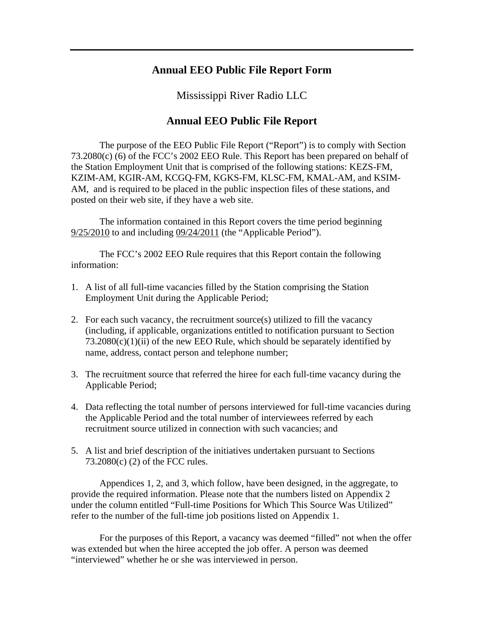### **Annual EEO Public File Report Form**

Mississippi River Radio LLC

### **Annual EEO Public File Report**

The purpose of the EEO Public File Report ("Report") is to comply with Section 73.2080(c) (6) of the FCC's 2002 EEO Rule. This Report has been prepared on behalf of the Station Employment Unit that is comprised of the following stations: KEZS-FM, KZIM-AM, KGIR-AM, KCGQ-FM, KGKS-FM, KLSC-FM, KMAL-AM, and KSIM-AM, and is required to be placed in the public inspection files of these stations, and posted on their web site, if they have a web site.

 The information contained in this Report covers the time period beginning 9/25/2010 to and including 09/24/2011 (the "Applicable Period").

 The FCC's 2002 EEO Rule requires that this Report contain the following information:

- 1. A list of all full-time vacancies filled by the Station comprising the Station Employment Unit during the Applicable Period;
- 2. For each such vacancy, the recruitment source(s) utilized to fill the vacancy (including, if applicable, organizations entitled to notification pursuant to Section  $73.2080(c)(1)(ii)$  of the new EEO Rule, which should be separately identified by name, address, contact person and telephone number;
- 3. The recruitment source that referred the hiree for each full-time vacancy during the Applicable Period;
- 4. Data reflecting the total number of persons interviewed for full-time vacancies during the Applicable Period and the total number of interviewees referred by each recruitment source utilized in connection with such vacancies; and
- 5. A list and brief description of the initiatives undertaken pursuant to Sections 73.2080(c) (2) of the FCC rules.

Appendices 1, 2, and 3, which follow, have been designed, in the aggregate, to provide the required information. Please note that the numbers listed on Appendix 2 under the column entitled "Full-time Positions for Which This Source Was Utilized" refer to the number of the full-time job positions listed on Appendix 1.

For the purposes of this Report, a vacancy was deemed "filled" not when the offer was extended but when the hiree accepted the job offer. A person was deemed "interviewed" whether he or she was interviewed in person.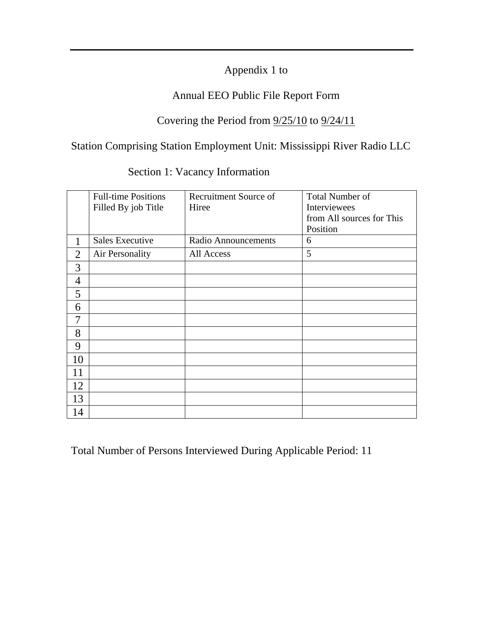## Appendix 1 to

## Annual EEO Public File Report Form

# Covering the Period from  $\frac{9}{25/10}$  to  $\frac{9}{24/11}$

# Station Comprising Station Employment Unit: Mississippi River Radio LLC

|                | <b>Full-time Positions</b> | Recruitment Source of      | <b>Total Number of</b>    |
|----------------|----------------------------|----------------------------|---------------------------|
|                | Filled By job Title        | Hiree                      | Interviewees              |
|                |                            |                            | from All sources for This |
|                |                            |                            | Position                  |
| 1              | <b>Sales Executive</b>     | <b>Radio Announcements</b> | 6                         |
| 2              | Air Personality            | All Access                 | 5                         |
| 3              |                            |                            |                           |
| $\overline{4}$ |                            |                            |                           |
| 5              |                            |                            |                           |
| 6              |                            |                            |                           |
| 7              |                            |                            |                           |
| 8              |                            |                            |                           |
| 9              |                            |                            |                           |
| 10             |                            |                            |                           |
| 11             |                            |                            |                           |
| 12             |                            |                            |                           |
| 13             |                            |                            |                           |
| 14             |                            |                            |                           |

Section 1: Vacancy Information

Total Number of Persons Interviewed During Applicable Period: 11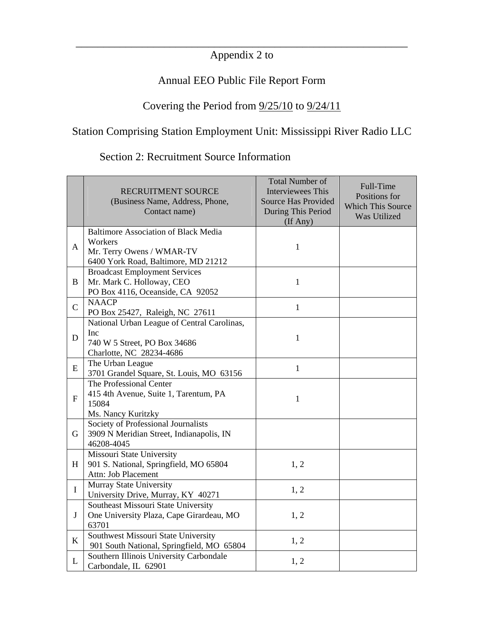### \_\_\_\_\_\_\_\_\_\_\_\_\_\_\_\_\_\_\_\_\_\_\_\_\_\_\_\_\_\_\_\_\_\_\_\_\_\_\_\_\_\_\_\_\_\_\_\_\_\_\_\_\_\_\_\_\_\_\_\_ Appendix 2 to

# Annual EEO Public File Report Form

# Covering the Period from  $\frac{9/25/10}{2}$  to  $\frac{9/24/11}{2}$

# Station Comprising Station Employment Unit: Mississippi River Radio LLC

Section 2: Recruitment Source Information

|              | RECRUITMENT SOURCE<br>(Business Name, Address, Phone,<br>Contact name)                                                     | <b>Total Number of</b><br><b>Interviewees This</b><br><b>Source Has Provided</b><br>During This Period<br>(If Any) | Full-Time<br>Positions for<br><b>Which This Source</b><br>Was Utilized |
|--------------|----------------------------------------------------------------------------------------------------------------------------|--------------------------------------------------------------------------------------------------------------------|------------------------------------------------------------------------|
| $\mathbf{A}$ | <b>Baltimore Association of Black Media</b><br>Workers<br>Mr. Terry Owens / WMAR-TV<br>6400 York Road, Baltimore, MD 21212 | $\mathbf{1}$                                                                                                       |                                                                        |
| $\bf{B}$     | <b>Broadcast Employment Services</b><br>Mr. Mark C. Holloway, CEO<br>PO Box 4116, Oceanside, CA 92052                      | $\mathbf{1}$                                                                                                       |                                                                        |
| $\mathbf C$  | <b>NAACP</b><br>PO Box 25427, Raleigh, NC 27611                                                                            | $\mathbf{1}$                                                                                                       |                                                                        |
| D            | National Urban League of Central Carolinas,<br>Inc<br>740 W 5 Street, PO Box 34686<br>Charlotte, NC 28234-4686             | $\mathbf{1}$                                                                                                       |                                                                        |
| ${\bf E}$    | The Urban League<br>3701 Grandel Square, St. Louis, MO 63156                                                               | $\mathbf{1}$                                                                                                       |                                                                        |
| ${\bf F}$    | The Professional Center<br>415 4th Avenue, Suite 1, Tarentum, PA<br>15084                                                  | $\mathbf{1}$                                                                                                       |                                                                        |
| G            | Ms. Nancy Kuritzky<br>Society of Professional Journalists<br>3909 N Meridian Street, Indianapolis, IN<br>46208-4045        |                                                                                                                    |                                                                        |
| H            | Missouri State University<br>901 S. National, Springfield, MO 65804<br>Attn: Job Placement                                 | 1, 2                                                                                                               |                                                                        |
| $\bf I$      | Murray State University<br>University Drive, Murray, KY 40271                                                              | 1, 2                                                                                                               |                                                                        |
| $\bf J$      | Southeast Missouri State University<br>One University Plaza, Cape Girardeau, MO<br>63701                                   | 1, 2                                                                                                               |                                                                        |
| K            | Southwest Missouri State University<br>901 South National, Springfield, MO 65804                                           | 1, 2                                                                                                               |                                                                        |
| L            | Southern Illinois University Carbondale<br>Carbondale, IL 62901                                                            | 1, 2                                                                                                               |                                                                        |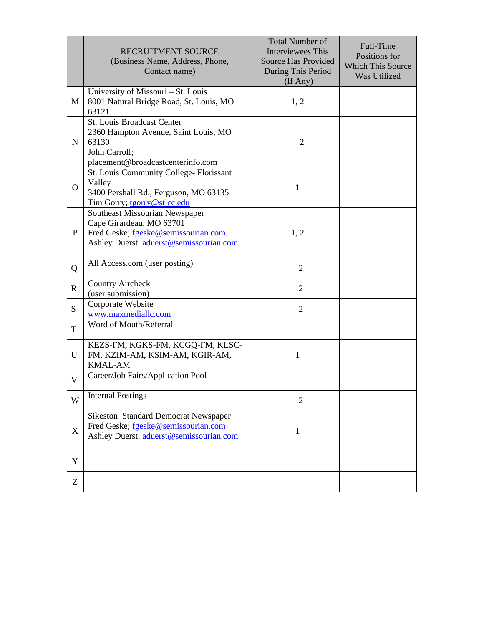|              | RECRUITMENT SOURCE<br>(Business Name, Address, Phone,<br>Contact name)                                                                       | <b>Total Number of</b><br>Interviewees This<br><b>Source Has Provided</b><br>During This Period<br>(If Any) | Full-Time<br>Positions for<br><b>Which This Source</b><br>Was Utilized |
|--------------|----------------------------------------------------------------------------------------------------------------------------------------------|-------------------------------------------------------------------------------------------------------------|------------------------------------------------------------------------|
| M            | University of Missouri - St. Louis<br>8001 Natural Bridge Road, St. Louis, MO<br>63121                                                       | 1, 2                                                                                                        |                                                                        |
| $\mathbf N$  | St. Louis Broadcast Center<br>2360 Hampton Avenue, Saint Louis, MO<br>63130<br>John Carroll;<br>placement@broadcastcenterinfo.com            | $\overline{2}$                                                                                              |                                                                        |
| $\mathbf{O}$ | St. Louis Community College- Florissant<br>Valley<br>3400 Pershall Rd., Ferguson, MO 63135<br>Tim Gorry; tgorry@stlcc.edu                    | $\mathbf{1}$                                                                                                |                                                                        |
| $\mathbf{P}$ | Southeast Missourian Newspaper<br>Cape Girardeau, MO 63701<br>Fred Geske; fgeske@semissourian.com<br>Ashley Duerst: aduerst@semissourian.com | 1, 2                                                                                                        |                                                                        |
| Q            | All Access.com (user posting)                                                                                                                | $\overline{2}$                                                                                              |                                                                        |
| $\mathbf R$  | <b>Country Aircheck</b><br>(user submission)                                                                                                 | $\overline{2}$                                                                                              |                                                                        |
| S            | Corporate Website<br>www.maxmediallc.com                                                                                                     | $\overline{2}$                                                                                              |                                                                        |
| T            | Word of Mouth/Referral                                                                                                                       |                                                                                                             |                                                                        |
| U            | KEZS-FM, KGKS-FM, KCGQ-FM, KLSC-<br>FM, KZIM-AM, KSIM-AM, KGIR-AM,<br><b>KMAL-AM</b>                                                         | $\mathbf{1}$                                                                                                |                                                                        |
| V            | Career/Job Fairs/Application Pool                                                                                                            |                                                                                                             |                                                                        |
| W            | <b>Internal Postings</b>                                                                                                                     | $\overline{2}$                                                                                              |                                                                        |
| X            | Sikeston Standard Democrat Newspaper<br>Fred Geske; fgeske@semissourian.com<br>Ashley Duerst: aduerst@semissourian.com                       | $\mathbf{1}$                                                                                                |                                                                        |
| Y            |                                                                                                                                              |                                                                                                             |                                                                        |
| Ζ            |                                                                                                                                              |                                                                                                             |                                                                        |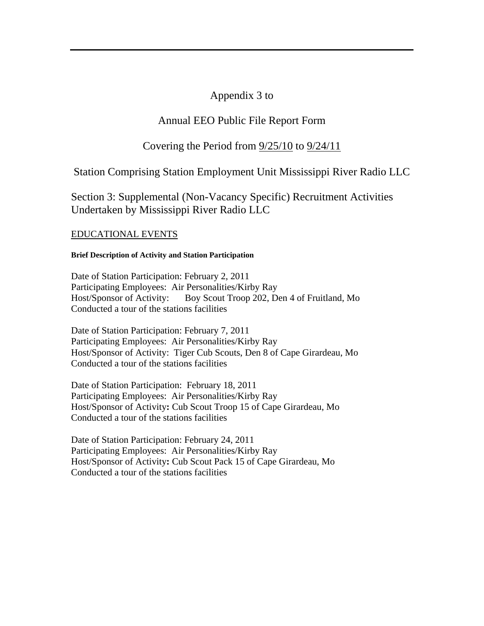#### Appendix 3 to

## Annual EEO Public File Report Form

### Covering the Period from  $\frac{9}{25/10}$  to  $\frac{9}{24/11}$

### Station Comprising Station Employment Unit Mississippi River Radio LLC

Section 3: Supplemental (Non-Vacancy Specific) Recruitment Activities Undertaken by Mississippi River Radio LLC

#### EDUCATIONAL EVENTS

#### **Brief Description of Activity and Station Participation**

Date of Station Participation: February 2, 2011 Participating Employees: Air Personalities/Kirby Ray Host/Sponsor of Activity: Boy Scout Troop 202, Den 4 of Fruitland, Mo Conducted a tour of the stations facilities

Date of Station Participation: February 7, 2011 Participating Employees: Air Personalities/Kirby Ray Host/Sponsor of Activity: Tiger Cub Scouts, Den 8 of Cape Girardeau, Mo Conducted a tour of the stations facilities

Date of Station Participation: February 18, 2011 Participating Employees: Air Personalities/Kirby Ray Host/Sponsor of Activity**:** Cub Scout Troop 15 of Cape Girardeau, Mo Conducted a tour of the stations facilities

Date of Station Participation: February 24, 2011 Participating Employees: Air Personalities/Kirby Ray Host/Sponsor of Activity**:** Cub Scout Pack 15 of Cape Girardeau, Mo Conducted a tour of the stations facilities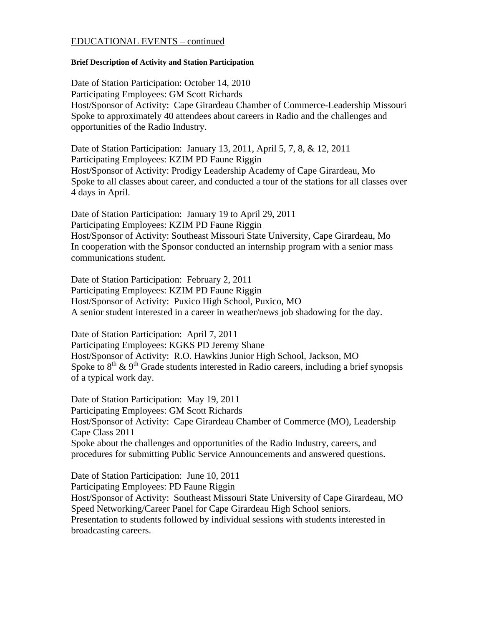#### EDUCATIONAL EVENTS – continued

#### **Brief Description of Activity and Station Participation**

Date of Station Participation: October 14, 2010 Participating Employees: GM Scott Richards Host/Sponsor of Activity: Cape Girardeau Chamber of Commerce-Leadership Missouri Spoke to approximately 40 attendees about careers in Radio and the challenges and opportunities of the Radio Industry.

Date of Station Participation: January 13, 2011, April 5, 7, 8, & 12, 2011 Participating Employees: KZIM PD Faune Riggin Host/Sponsor of Activity: Prodigy Leadership Academy of Cape Girardeau, Mo Spoke to all classes about career, and conducted a tour of the stations for all classes over 4 days in April.

Date of Station Participation: January 19 to April 29, 2011 Participating Employees: KZIM PD Faune Riggin Host/Sponsor of Activity: Southeast Missouri State University, Cape Girardeau, Mo In cooperation with the Sponsor conducted an internship program with a senior mass communications student.

Date of Station Participation: February 2, 2011 Participating Employees: KZIM PD Faune Riggin Host/Sponsor of Activity: Puxico High School, Puxico, MO A senior student interested in a career in weather/news job shadowing for the day.

Date of Station Participation: April 7, 2011 Participating Employees: KGKS PD Jeremy Shane Host/Sponsor of Activity: R.O. Hawkins Junior High School, Jackson, MO Spoke to  $8<sup>th</sup>$  &  $9<sup>th</sup>$  Grade students interested in Radio careers, including a brief synopsis of a typical work day.

Date of Station Participation: May 19, 2011 Participating Employees: GM Scott Richards Host/Sponsor of Activity: Cape Girardeau Chamber of Commerce (MO), Leadership Cape Class 2011 Spoke about the challenges and opportunities of the Radio Industry, careers, and procedures for submitting Public Service Announcements and answered questions.

Date of Station Participation: June 10, 2011 Participating Employees: PD Faune Riggin Host/Sponsor of Activity: Southeast Missouri State University of Cape Girardeau, MO Speed Networking/Career Panel for Cape Girardeau High School seniors. Presentation to students followed by individual sessions with students interested in broadcasting careers.